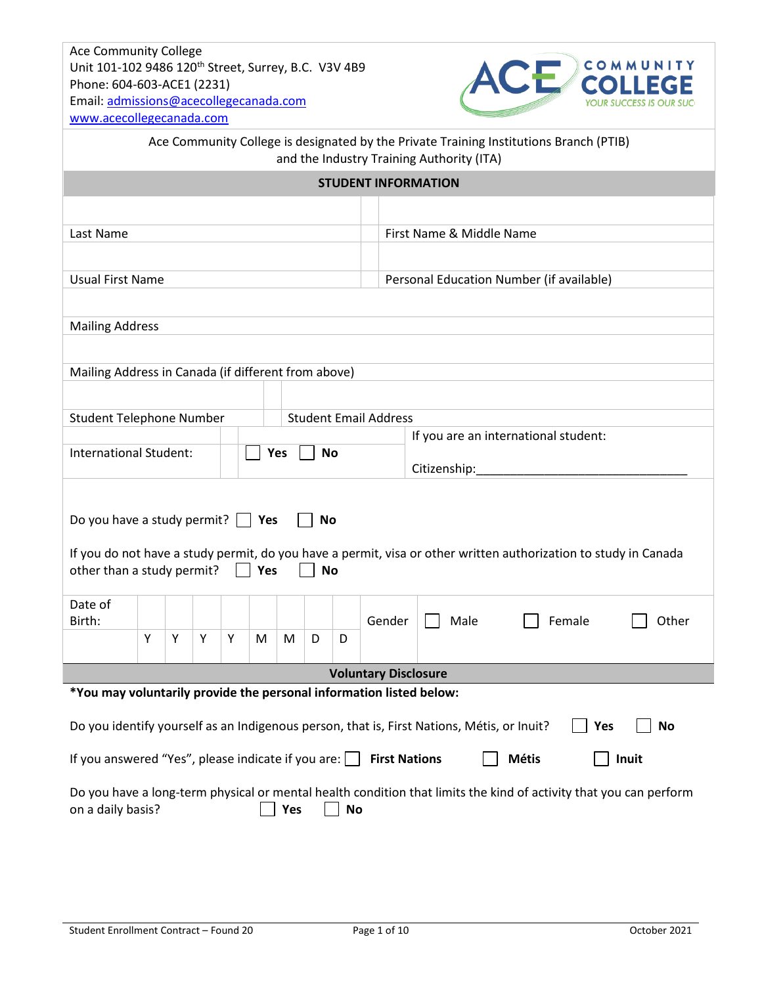

| Ace Community College is designated by the Private Training Institutions Branch (PTIB)<br>and the Industry Training Authority (ITA)                                                                                                                   |   |   |   |   |   |   |   |   |                                          |                          |  |  |  |
|-------------------------------------------------------------------------------------------------------------------------------------------------------------------------------------------------------------------------------------------------------|---|---|---|---|---|---|---|---|------------------------------------------|--------------------------|--|--|--|
| <b>STUDENT INFORMATION</b>                                                                                                                                                                                                                            |   |   |   |   |   |   |   |   |                                          |                          |  |  |  |
|                                                                                                                                                                                                                                                       |   |   |   |   |   |   |   |   |                                          |                          |  |  |  |
| Last Name                                                                                                                                                                                                                                             |   |   |   |   |   |   |   |   |                                          | First Name & Middle Name |  |  |  |
|                                                                                                                                                                                                                                                       |   |   |   |   |   |   |   |   |                                          |                          |  |  |  |
| <b>Usual First Name</b>                                                                                                                                                                                                                               |   |   |   |   |   |   |   |   | Personal Education Number (if available) |                          |  |  |  |
|                                                                                                                                                                                                                                                       |   |   |   |   |   |   |   |   |                                          |                          |  |  |  |
| <b>Mailing Address</b>                                                                                                                                                                                                                                |   |   |   |   |   |   |   |   |                                          |                          |  |  |  |
|                                                                                                                                                                                                                                                       |   |   |   |   |   |   |   |   |                                          |                          |  |  |  |
| Mailing Address in Canada (if different from above)                                                                                                                                                                                                   |   |   |   |   |   |   |   |   |                                          |                          |  |  |  |
|                                                                                                                                                                                                                                                       |   |   |   |   |   |   |   |   |                                          |                          |  |  |  |
| <b>Student Telephone Number</b>                                                                                                                                                                                                                       |   |   |   |   |   |   |   |   | <b>Student Email Address</b>             |                          |  |  |  |
| If you are an international student:                                                                                                                                                                                                                  |   |   |   |   |   |   |   |   |                                          |                          |  |  |  |
| International Student:<br><b>No</b><br>Yes<br>Citizenship:                                                                                                                                                                                            |   |   |   |   |   |   |   |   |                                          |                          |  |  |  |
| Do you have a study permit? $\vert \cdot \vert$ Yes<br><b>No</b><br>If you do not have a study permit, do you have a permit, visa or other written authorization to study in Canada<br>other than a study permit?<br>$\vert$ $\vert$ Yes<br><b>No</b> |   |   |   |   |   |   |   |   |                                          |                          |  |  |  |
| Date of                                                                                                                                                                                                                                               |   |   |   |   |   |   |   |   |                                          |                          |  |  |  |
| Birth:                                                                                                                                                                                                                                                | Y | Y | Y | Υ | M | M | D | D | Gender                                   | Female<br>Male<br>Other  |  |  |  |
|                                                                                                                                                                                                                                                       |   |   |   |   |   |   |   |   |                                          |                          |  |  |  |
| <b>Voluntary Disclosure</b>                                                                                                                                                                                                                           |   |   |   |   |   |   |   |   |                                          |                          |  |  |  |
| *You may voluntarily provide the personal information listed below:                                                                                                                                                                                   |   |   |   |   |   |   |   |   |                                          |                          |  |  |  |
| Do you identify yourself as an Indigenous person, that is, First Nations, Métis, or Inuit?<br><b>No</b><br>Yes                                                                                                                                        |   |   |   |   |   |   |   |   |                                          |                          |  |  |  |
| If you answered "Yes", please indicate if you are: $\Box$<br><b>Métis</b><br><b>First Nations</b><br>Inuit                                                                                                                                            |   |   |   |   |   |   |   |   |                                          |                          |  |  |  |
| Do you have a long-term physical or mental health condition that limits the kind of activity that you can perform<br>Yes<br>on a daily basis?<br><b>No</b>                                                                                            |   |   |   |   |   |   |   |   |                                          |                          |  |  |  |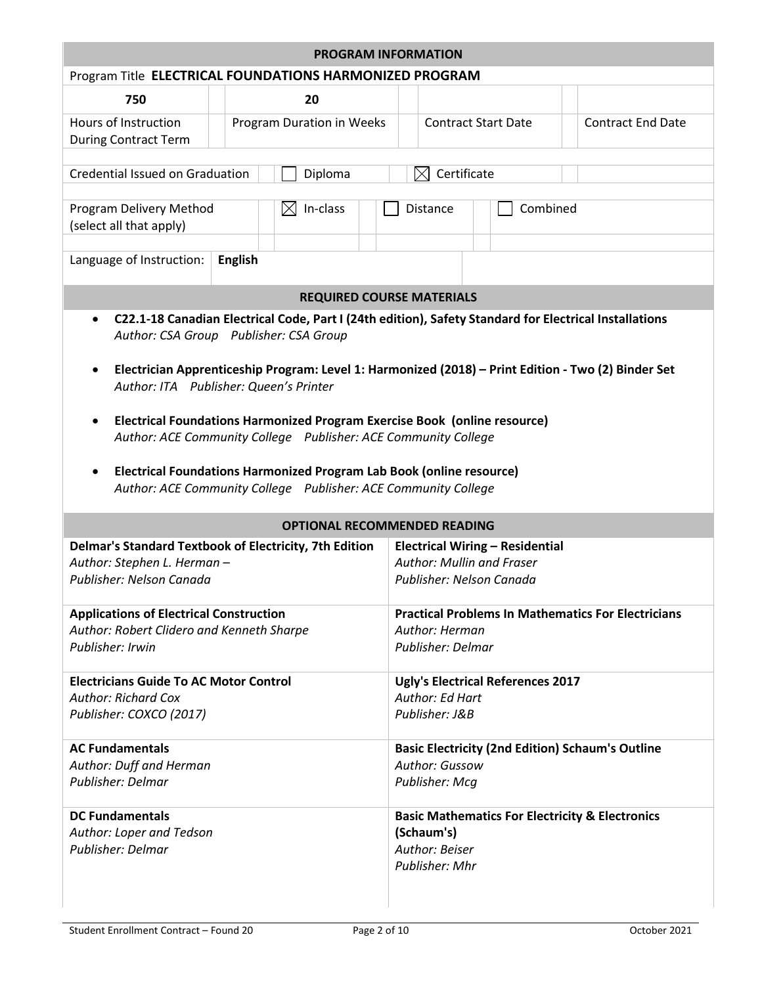| <b>PROGRAM INFORMATION</b>                                                                                                                                                                                                                                                                                                                                                                                                                                                                                                                                                                                                               |                |                                                                                                        |  |                                                                                                              |             |                            |                          |  |  |
|------------------------------------------------------------------------------------------------------------------------------------------------------------------------------------------------------------------------------------------------------------------------------------------------------------------------------------------------------------------------------------------------------------------------------------------------------------------------------------------------------------------------------------------------------------------------------------------------------------------------------------------|----------------|--------------------------------------------------------------------------------------------------------|--|--------------------------------------------------------------------------------------------------------------|-------------|----------------------------|--------------------------|--|--|
| Program Title ELECTRICAL FOUNDATIONS HARMONIZED PROGRAM                                                                                                                                                                                                                                                                                                                                                                                                                                                                                                                                                                                  |                |                                                                                                        |  |                                                                                                              |             |                            |                          |  |  |
| 750                                                                                                                                                                                                                                                                                                                                                                                                                                                                                                                                                                                                                                      |                | 20                                                                                                     |  |                                                                                                              |             |                            |                          |  |  |
| Hours of Instruction<br><b>During Contract Term</b>                                                                                                                                                                                                                                                                                                                                                                                                                                                                                                                                                                                      |                | Program Duration in Weeks                                                                              |  |                                                                                                              |             | <b>Contract Start Date</b> | <b>Contract End Date</b> |  |  |
| <b>Credential Issued on Graduation</b>                                                                                                                                                                                                                                                                                                                                                                                                                                                                                                                                                                                                   |                | Diploma                                                                                                |  | $\boxtimes$                                                                                                  | Certificate |                            |                          |  |  |
| Program Delivery Method<br>(select all that apply)                                                                                                                                                                                                                                                                                                                                                                                                                                                                                                                                                                                       |                | In-class<br>IXI                                                                                        |  | <b>Distance</b>                                                                                              |             | Combined                   |                          |  |  |
| Language of Instruction:                                                                                                                                                                                                                                                                                                                                                                                                                                                                                                                                                                                                                 | <b>English</b> |                                                                                                        |  |                                                                                                              |             |                            |                          |  |  |
|                                                                                                                                                                                                                                                                                                                                                                                                                                                                                                                                                                                                                                          |                | <b>REQUIRED COURSE MATERIALS</b>                                                                       |  |                                                                                                              |             |                            |                          |  |  |
| C22.1-18 Canadian Electrical Code, Part I (24th edition), Safety Standard for Electrical Installations<br>$\bullet$<br>Author: CSA Group Publisher: CSA Group<br>Electrician Apprenticeship Program: Level 1: Harmonized (2018) - Print Edition - Two (2) Binder Set<br>٠<br>Author: ITA Publisher: Queen's Printer<br>Electrical Foundations Harmonized Program Exercise Book (online resource)<br>$\bullet$<br>Author: ACE Community College  Publisher: ACE Community College<br>Electrical Foundations Harmonized Program Lab Book (online resource)<br>$\bullet$<br>Author: ACE Community College  Publisher: ACE Community College |                |                                                                                                        |  |                                                                                                              |             |                            |                          |  |  |
|                                                                                                                                                                                                                                                                                                                                                                                                                                                                                                                                                                                                                                          |                | <b>OPTIONAL RECOMMENDED READING</b>                                                                    |  |                                                                                                              |             |                            |                          |  |  |
| Delmar's Standard Textbook of Electricity, 7th Edition<br>Author: Stephen L. Herman-<br>Publisher: Nelson Canada                                                                                                                                                                                                                                                                                                                                                                                                                                                                                                                         |                | <b>Electrical Wiring - Residential</b><br><b>Author: Mullin and Fraser</b><br>Publisher: Nelson Canada |  |                                                                                                              |             |                            |                          |  |  |
| <b>Applications of Electrical Construction</b><br>Author: Robert Clidero and Kenneth Sharpe<br>Publisher: Irwin                                                                                                                                                                                                                                                                                                                                                                                                                                                                                                                          |                | <b>Practical Problems In Mathematics For Electricians</b><br>Author: Herman<br>Publisher: Delmar       |  |                                                                                                              |             |                            |                          |  |  |
| <b>Electricians Guide To AC Motor Control</b><br><b>Author: Richard Cox</b><br>Publisher: COXCO (2017)                                                                                                                                                                                                                                                                                                                                                                                                                                                                                                                                   |                |                                                                                                        |  | <b>Ugly's Electrical References 2017</b><br>Author: Ed Hart<br>Publisher: J&B                                |             |                            |                          |  |  |
| <b>AC Fundamentals</b><br>Author: Duff and Herman<br><b>Publisher: Delmar</b>                                                                                                                                                                                                                                                                                                                                                                                                                                                                                                                                                            |                | <b>Basic Electricity (2nd Edition) Schaum's Outline</b><br><b>Author: Gussow</b><br>Publisher: Mcg     |  |                                                                                                              |             |                            |                          |  |  |
| <b>DC Fundamentals</b><br>Author: Loper and Tedson<br>Publisher: Delmar                                                                                                                                                                                                                                                                                                                                                                                                                                                                                                                                                                  |                |                                                                                                        |  | <b>Basic Mathematics For Electricity &amp; Electronics</b><br>(Schaum's)<br>Author: Beiser<br>Publisher: Mhr |             |                            |                          |  |  |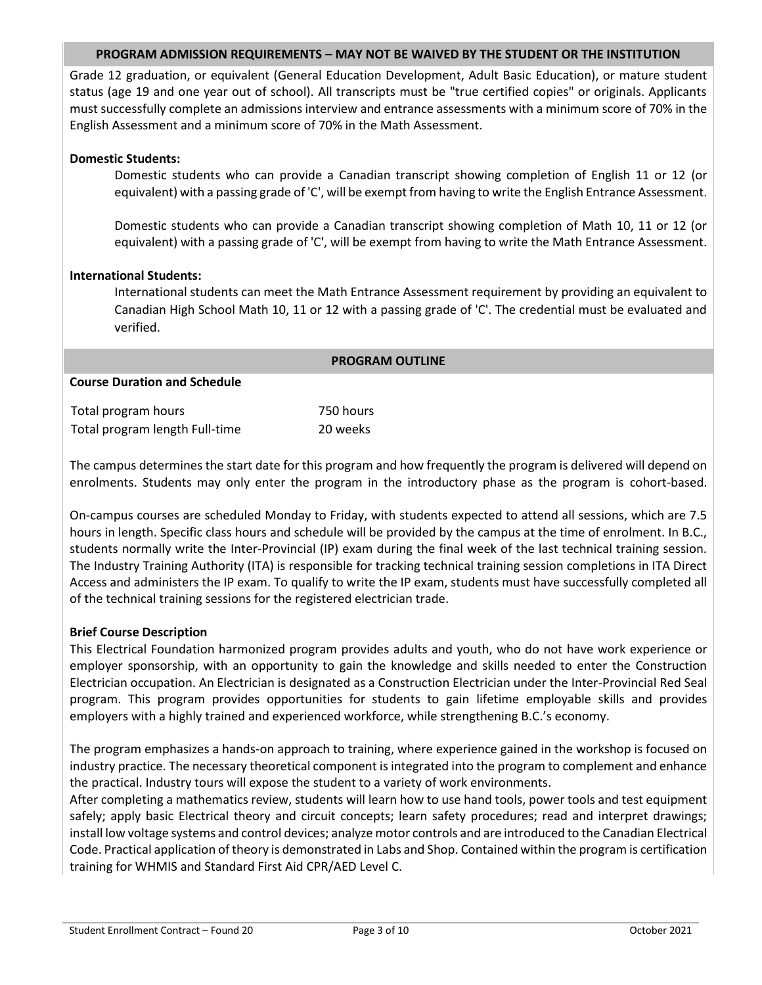### **PROGRAM ADMISSION REQUIREMENTS – MAY NOT BE WAIVED BY THE STUDENT OR THE INSTITUTION**

Grade 12 graduation, or equivalent (General Education Development, Adult Basic Education), or mature student status (age 19 and one year out of school). All transcripts must be "true certified copies" or originals. Applicants must successfully complete an admissions interview and entrance assessments with a minimum score of 70% in the English Assessment and a minimum score of 70% in the Math Assessment.

### **Domestic Students:**

Domestic students who can provide a Canadian transcript showing completion of English 11 or 12 (or equivalent) with a passing grade of 'C', will be exempt from having to write the English Entrance Assessment.

Domestic students who can provide a Canadian transcript showing completion of Math 10, 11 or 12 (or equivalent) with a passing grade of 'C', will be exempt from having to write the Math Entrance Assessment.

### **International Students:**

International students can meet the Math Entrance Assessment requirement by providing an equivalent to Canadian High School Math 10, 11 or 12 with a passing grade of 'C'. The credential must be evaluated and verified.

|                                     | <b>PROGRAM OUTLINE</b> |  |  |  |  |  |  |  |
|-------------------------------------|------------------------|--|--|--|--|--|--|--|
| <b>Course Duration and Schedule</b> |                        |  |  |  |  |  |  |  |
|                                     |                        |  |  |  |  |  |  |  |
| Total program hours                 | 750 hours              |  |  |  |  |  |  |  |
| Total program length Full-time      | 20 weeks               |  |  |  |  |  |  |  |

The campus determines the start date for this program and how frequently the program is delivered will depend on enrolments. Students may only enter the program in the introductory phase as the program is cohort-based.

On-campus courses are scheduled Monday to Friday, with students expected to attend all sessions, which are 7.5 hours in length. Specific class hours and schedule will be provided by the campus at the time of enrolment. In B.C., students normally write the Inter-Provincial (IP) exam during the final week of the last technical training session. The Industry Training Authority (ITA) is responsible for tracking technical training session completions in ITA Direct Access and administers the IP exam. To qualify to write the IP exam, students must have successfully completed all of the technical training sessions for the registered electrician trade.

# **Brief Course Description**

This Electrical Foundation harmonized program provides adults and youth, who do not have work experience or employer sponsorship, with an opportunity to gain the knowledge and skills needed to enter the Construction Electrician occupation. An Electrician is designated as a Construction Electrician under the Inter-Provincial Red Seal program. This program provides opportunities for students to gain lifetime employable skills and provides employers with a highly trained and experienced workforce, while strengthening B.C.'s economy.

The program emphasizes a hands-on approach to training, where experience gained in the workshop is focused on industry practice. The necessary theoretical component is integrated into the program to complement and enhance the practical. Industry tours will expose the student to a variety of work environments.

After completing a mathematics review, students will learn how to use hand tools, power tools and test equipment safely; apply basic Electrical theory and circuit concepts; learn safety procedures; read and interpret drawings; install low voltage systems and control devices; analyze motor controls and are introduced to the Canadian Electrical Code. Practical application of theory is demonstrated in Labs and Shop. Contained within the program is certification training for WHMIS and Standard First Aid CPR/AED Level C.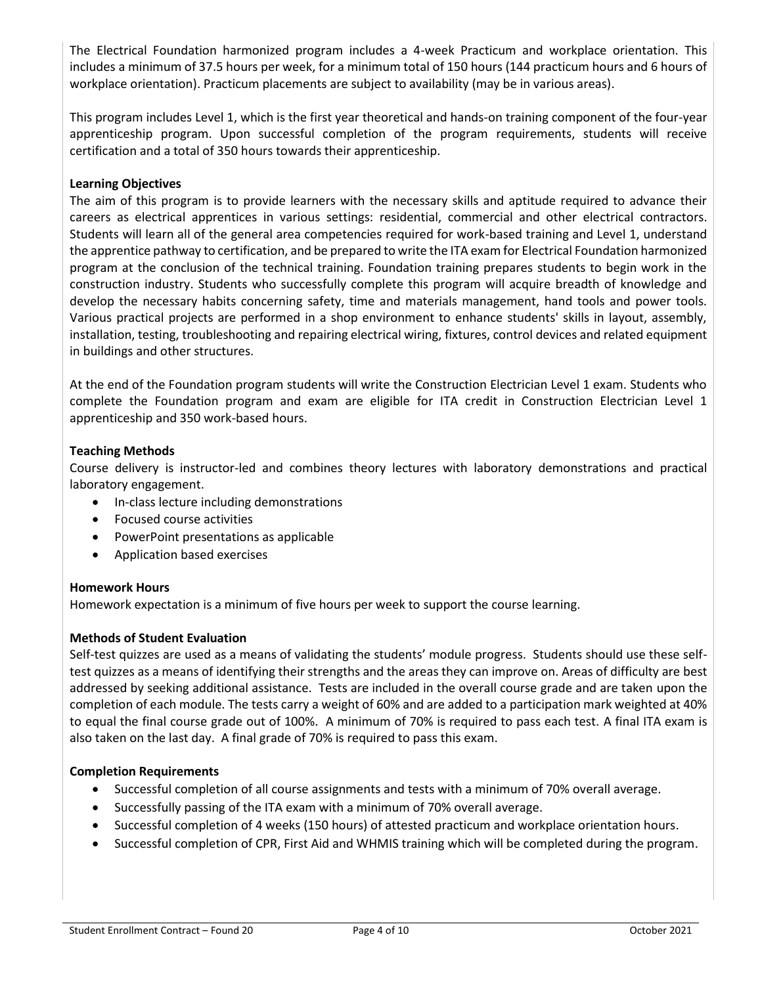The Electrical Foundation harmonized program includes a 4-week Practicum and workplace orientation. This includes a minimum of 37.5 hours per week, for a minimum total of 150 hours (144 practicum hours and 6 hours of workplace orientation). Practicum placements are subject to availability (may be in various areas).

This program includes Level 1, which is the first year theoretical and hands-on training component of the four-year apprenticeship program. Upon successful completion of the program requirements, students will receive certification and a total of 350 hours towards their apprenticeship.

# **Learning Objectives**

The aim of this program is to provide learners with the necessary skills and aptitude required to advance their careers as electrical apprentices in various settings: residential, commercial and other electrical contractors. Students will learn all of the general area competencies required for work-based training and Level 1, understand the apprentice pathway to certification, and be prepared to write the ITA exam for Electrical Foundation harmonized program at the conclusion of the technical training. Foundation training prepares students to begin work in the construction industry. Students who successfully complete this program will acquire breadth of knowledge and develop the necessary habits concerning safety, time and materials management, hand tools and power tools. Various practical projects are performed in a shop environment to enhance students' skills in layout, assembly, installation, testing, troubleshooting and repairing electrical wiring, fixtures, control devices and related equipment in buildings and other structures.

At the end of the Foundation program students will write the Construction Electrician Level 1 exam. Students who complete the Foundation program and exam are eligible for ITA credit in Construction Electrician Level 1 apprenticeship and 350 work-based hours.

# **Teaching Methods**

Course delivery is instructor-led and combines theory lectures with laboratory demonstrations and practical laboratory engagement.

- In-class lecture including demonstrations
- Focused course activities
- PowerPoint presentations as applicable
- Application based exercises

#### **Homework Hours**

Homework expectation is a minimum of five hours per week to support the course learning.

#### **Methods of Student Evaluation**

Self-test quizzes are used as a means of validating the students' module progress. Students should use these selftest quizzes as a means of identifying their strengths and the areas they can improve on. Areas of difficulty are best addressed by seeking additional assistance. Tests are included in the overall course grade and are taken upon the completion of each module. The tests carry a weight of 60% and are added to a participation mark weighted at 40% to equal the final course grade out of 100%. A minimum of 70% is required to pass each test. A final ITA exam is also taken on the last day. A final grade of 70% is required to pass this exam.

### **Completion Requirements**

- Successful completion of all course assignments and tests with a minimum of 70% overall average.
- Successfully passing of the ITA exam with a minimum of 70% overall average.
- Successful completion of 4 weeks (150 hours) of attested practicum and workplace orientation hours.
- Successful completion of CPR, First Aid and WHMIS training which will be completed during the program.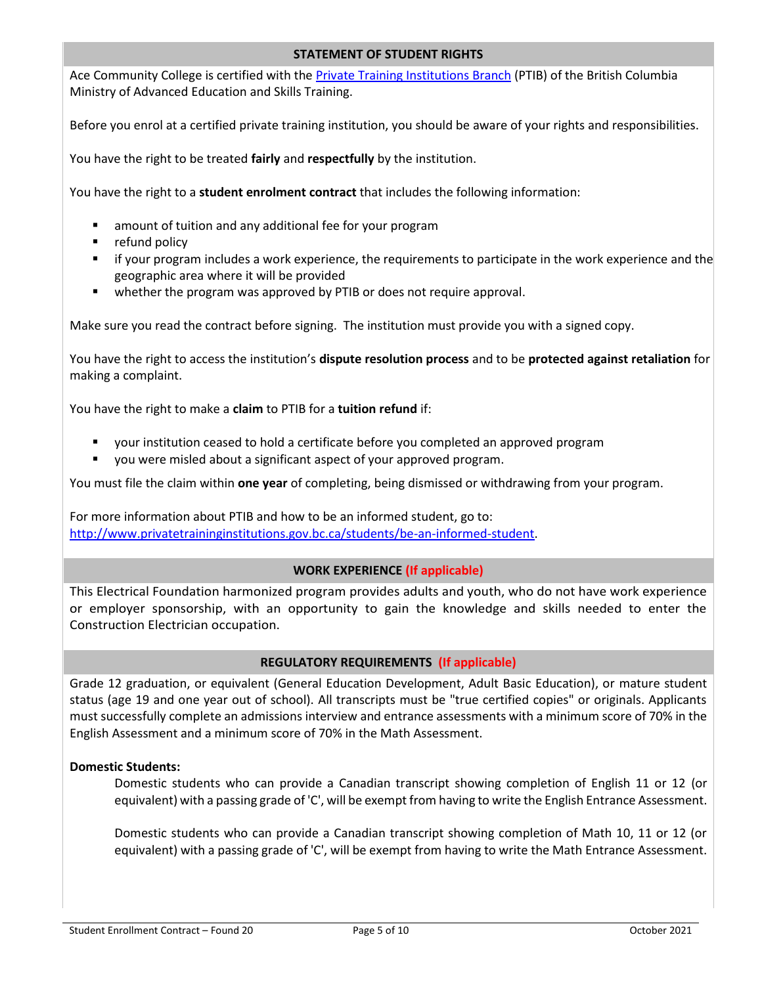### **STATEMENT OF STUDENT RIGHTS**

Ace Community College is certified with th[e Private Training Institutions Branch](https://www.privatetraininginstitutions.gov.bc.ca/) (PTIB) of the British Columbia Ministry of Advanced Education and Skills Training.

Before you enrol at a certified private training institution, you should be aware of your rights and responsibilities.

You have the right to be treated **fairly** and **respectfully** by the institution.

You have the right to a **student enrolment contract** that includes the following information:

- amount of tuition and any additional fee for your program
- refund policy
- **■** if your program includes a work experience, the requirements to participate in the work experience and the geographic area where it will be provided
- whether the program was approved by PTIB or does not require approval.

Make sure you read the contract before signing. The institution must provide you with a signed copy.

You have the right to access the institution's **dispute resolution process** and to be **protected against retaliation** for making a complaint.

You have the right to make a **claim** to PTIB for a **tuition refund** if:

- your institution ceased to hold a certificate before you completed an approved program
- you were misled about a significant aspect of your approved program.

You must file the claim within **one year** of completing, being dismissed or withdrawing from your program.

For more information about PTIB and how to be an informed student, go to: [http://www.privatetraininginstitutions.gov.bc.ca/students/be-an-informed-student.](http://www.privatetraininginstitutions.gov.bc.ca/students/be-an-informed-student)

#### **WORK EXPERIENCE (If applicable)**

This Electrical Foundation harmonized program provides adults and youth, who do not have work experience or employer sponsorship, with an opportunity to gain the knowledge and skills needed to enter the Construction Electrician occupation.

#### **REGULATORY REQUIREMENTS (If applicable)**

Grade 12 graduation, or equivalent (General Education Development, Adult Basic Education), or mature student status (age 19 and one year out of school). All transcripts must be "true certified copies" or originals. Applicants must successfully complete an admissions interview and entrance assessments with a minimum score of 70% in the English Assessment and a minimum score of 70% in the Math Assessment.

# **Domestic Students:**

Domestic students who can provide a Canadian transcript showing completion of English 11 or 12 (or equivalent) with a passing grade of 'C', will be exempt from having to write the English Entrance Assessment.

Domestic students who can provide a Canadian transcript showing completion of Math 10, 11 or 12 (or equivalent) with a passing grade of 'C', will be exempt from having to write the Math Entrance Assessment.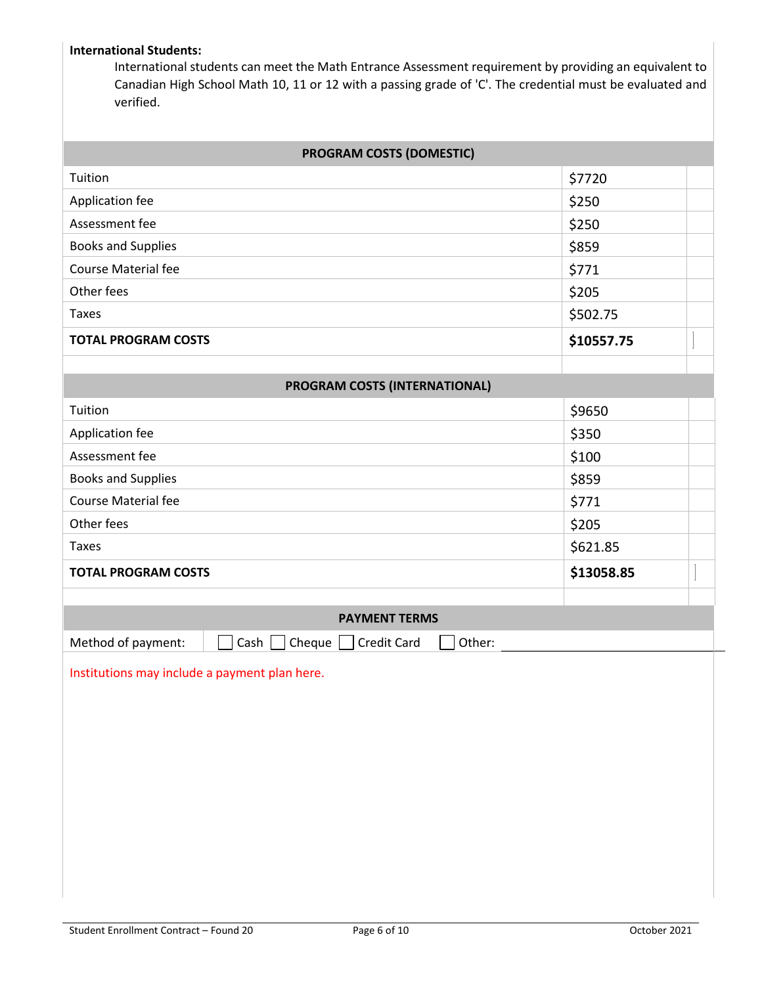# **International Students:**

International students can meet the Math Entrance Assessment requirement by providing an equivalent to Canadian High School Math 10, 11 or 12 with a passing grade of 'C'. The credential must be evaluated and verified.

### **PROGRAM COSTS (DOMESTIC)**

| Application fee            | \$250      |  |
|----------------------------|------------|--|
|                            |            |  |
| Assessment fee             | \$250      |  |
| <b>Books and Supplies</b>  | \$859      |  |
| <b>Course Material fee</b> | \$771      |  |
| Other fees                 | \$205      |  |
| Taxes                      | \$502.75   |  |
| <b>TOTAL PROGRAM COSTS</b> | \$10557.75 |  |
|                            |            |  |

| <b>PROGRAM COSTS (INTERNATIONAL)</b> |            |  |
|--------------------------------------|------------|--|
| Tuition                              | \$9650     |  |
| Application fee                      | \$350      |  |
| Assessment fee                       | \$100      |  |
| <b>Books and Supplies</b>            | \$859      |  |
| <b>Course Material fee</b>           | \$771      |  |
| Other fees                           | \$205      |  |
| Taxes                                | \$621.85   |  |
| <b>TOTAL PROGRAM COSTS</b>           | \$13058.85 |  |
|                                      |            |  |

**PROGRAM COSTS (INTERNATIONAL)**

| <b>PAYMENT TERMS</b>                                                          |  |
|-------------------------------------------------------------------------------|--|
| Method of payment: $\Box$ Cash $\Box$ Cheque $\Box$ Credit Card $\Box$ Other: |  |

Institutions may include a payment plan here.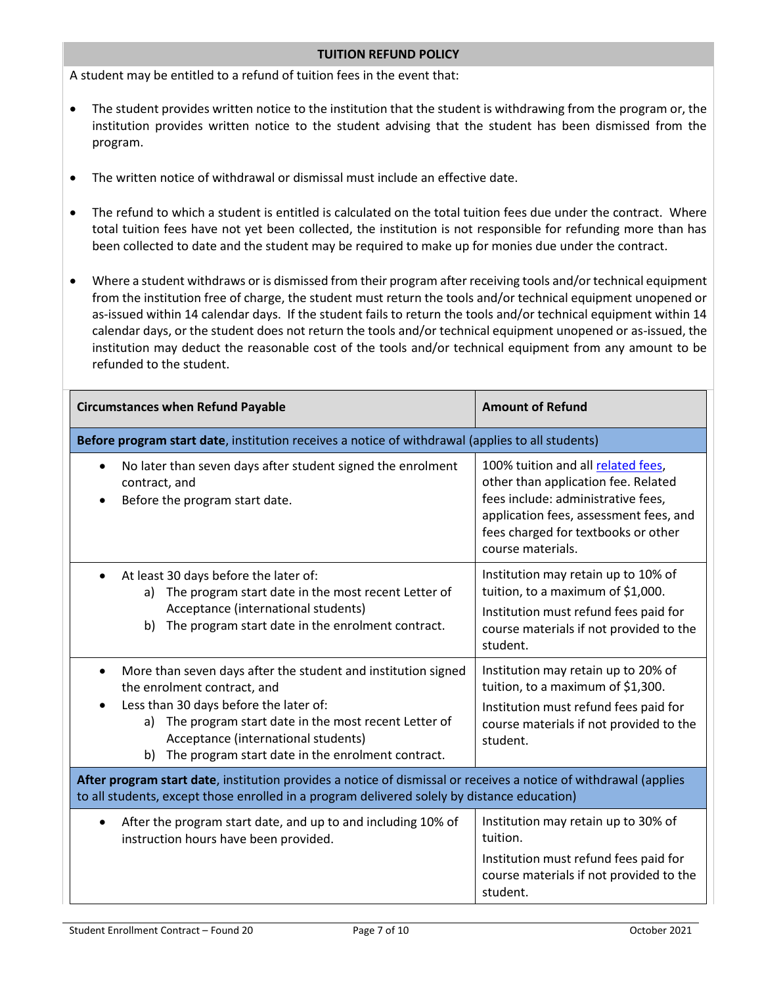#### **TUITION REFUND POLICY**

A student may be entitled to a refund of tuition fees in the event that:

- The student provides written notice to the institution that the student is withdrawing from the program or, the institution provides written notice to the student advising that the student has been dismissed from the program.
- The written notice of withdrawal or dismissal must include an effective date.
- The refund to which a student is entitled is calculated on the total tuition fees due under the contract. Where total tuition fees have not yet been collected, the institution is not responsible for refunding more than has been collected to date and the student may be required to make up for monies due under the contract.
- Where a student withdraws or is dismissed from their program after receiving tools and/or technical equipment from the institution free of charge, the student must return the tools and/or technical equipment unopened or as-issued within 14 calendar days. If the student fails to return the tools and/or technical equipment within 14 calendar days, or the student does not return the tools and/or technical equipment unopened or as-issued, the institution may deduct the reasonable cost of the tools and/or technical equipment from any amount to be refunded to the student.

| <b>Circumstances when Refund Payable</b>                                                                                                                                                                                                                                                                           | <b>Amount of Refund</b>                                                                                                                                                                                               |  |  |  |  |  |  |
|--------------------------------------------------------------------------------------------------------------------------------------------------------------------------------------------------------------------------------------------------------------------------------------------------------------------|-----------------------------------------------------------------------------------------------------------------------------------------------------------------------------------------------------------------------|--|--|--|--|--|--|
| Before program start date, institution receives a notice of withdrawal (applies to all students)                                                                                                                                                                                                                   |                                                                                                                                                                                                                       |  |  |  |  |  |  |
| No later than seven days after student signed the enrolment<br>$\bullet$<br>contract, and<br>Before the program start date.                                                                                                                                                                                        | 100% tuition and all related fees,<br>other than application fee. Related<br>fees include: administrative fees,<br>application fees, assessment fees, and<br>fees charged for textbooks or other<br>course materials. |  |  |  |  |  |  |
| At least 30 days before the later of:<br>The program start date in the most recent Letter of<br>a)<br>Acceptance (international students)<br>b) The program start date in the enrolment contract.                                                                                                                  | Institution may retain up to 10% of<br>tuition, to a maximum of \$1,000.<br>Institution must refund fees paid for<br>course materials if not provided to the<br>student.                                              |  |  |  |  |  |  |
| More than seven days after the student and institution signed<br>$\bullet$<br>the enrolment contract, and<br>Less than 30 days before the later of:<br>The program start date in the most recent Letter of<br>a)<br>Acceptance (international students)<br>The program start date in the enrolment contract.<br>b) | Institution may retain up to 20% of<br>tuition, to a maximum of \$1,300.<br>Institution must refund fees paid for<br>course materials if not provided to the<br>student.                                              |  |  |  |  |  |  |
| After program start date, institution provides a notice of dismissal or receives a notice of withdrawal (applies<br>to all students, except those enrolled in a program delivered solely by distance education)                                                                                                    |                                                                                                                                                                                                                       |  |  |  |  |  |  |
| After the program start date, and up to and including 10% of<br>instruction hours have been provided.                                                                                                                                                                                                              | Institution may retain up to 30% of<br>tuition.<br>Institution must refund fees paid for<br>course materials if not provided to the<br>student.                                                                       |  |  |  |  |  |  |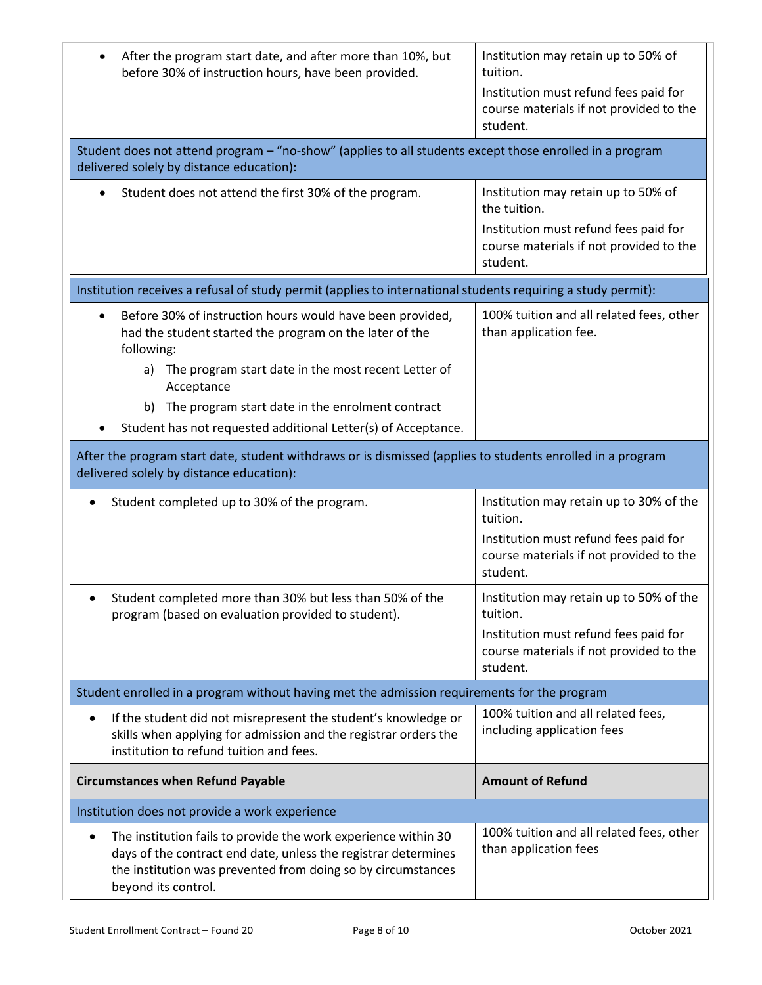| After the program start date, and after more than 10%, but<br>before 30% of instruction hours, have been provided.                                                                                                                                                                                                                    | Institution may retain up to 50% of<br>tuition.<br>Institution must refund fees paid for<br>course materials if not provided to the<br>student.     |  |  |  |  |
|---------------------------------------------------------------------------------------------------------------------------------------------------------------------------------------------------------------------------------------------------------------------------------------------------------------------------------------|-----------------------------------------------------------------------------------------------------------------------------------------------------|--|--|--|--|
| Student does not attend program - "no-show" (applies to all students except those enrolled in a program<br>delivered solely by distance education):                                                                                                                                                                                   |                                                                                                                                                     |  |  |  |  |
| Student does not attend the first 30% of the program.                                                                                                                                                                                                                                                                                 | Institution may retain up to 50% of<br>the tuition.<br>Institution must refund fees paid for<br>course materials if not provided to the<br>student. |  |  |  |  |
| Institution receives a refusal of study permit (applies to international students requiring a study permit):                                                                                                                                                                                                                          |                                                                                                                                                     |  |  |  |  |
| Before 30% of instruction hours would have been provided,<br>had the student started the program on the later of the<br>following:<br>a) The program start date in the most recent Letter of<br>Acceptance<br>The program start date in the enrolment contract<br>b)<br>Student has not requested additional Letter(s) of Acceptance. | 100% tuition and all related fees, other<br>than application fee.                                                                                   |  |  |  |  |
| After the program start date, student withdraws or is dismissed (applies to students enrolled in a program<br>delivered solely by distance education):                                                                                                                                                                                |                                                                                                                                                     |  |  |  |  |
| Student completed up to 30% of the program.                                                                                                                                                                                                                                                                                           | Institution may retain up to 30% of the<br>tuition.<br>Institution must refund fees paid for<br>course materials if not provided to the<br>student. |  |  |  |  |
| Student completed more than 30% but less than 50% of the<br>program (based on evaluation provided to student).                                                                                                                                                                                                                        | Institution may retain up to 50% of the<br>tuition.<br>Institution must refund fees paid for<br>course materials if not provided to the<br>student. |  |  |  |  |
| Student enrolled in a program without having met the admission requirements for the program                                                                                                                                                                                                                                           |                                                                                                                                                     |  |  |  |  |
| If the student did not misrepresent the student's knowledge or<br>$\bullet$<br>skills when applying for admission and the registrar orders the<br>institution to refund tuition and fees.                                                                                                                                             | 100% tuition and all related fees,<br>including application fees                                                                                    |  |  |  |  |
| <b>Circumstances when Refund Payable</b>                                                                                                                                                                                                                                                                                              | <b>Amount of Refund</b>                                                                                                                             |  |  |  |  |
| Institution does not provide a work experience                                                                                                                                                                                                                                                                                        |                                                                                                                                                     |  |  |  |  |
| The institution fails to provide the work experience within 30<br>days of the contract end date, unless the registrar determines<br>the institution was prevented from doing so by circumstances<br>beyond its control.                                                                                                               | 100% tuition and all related fees, other<br>than application fees                                                                                   |  |  |  |  |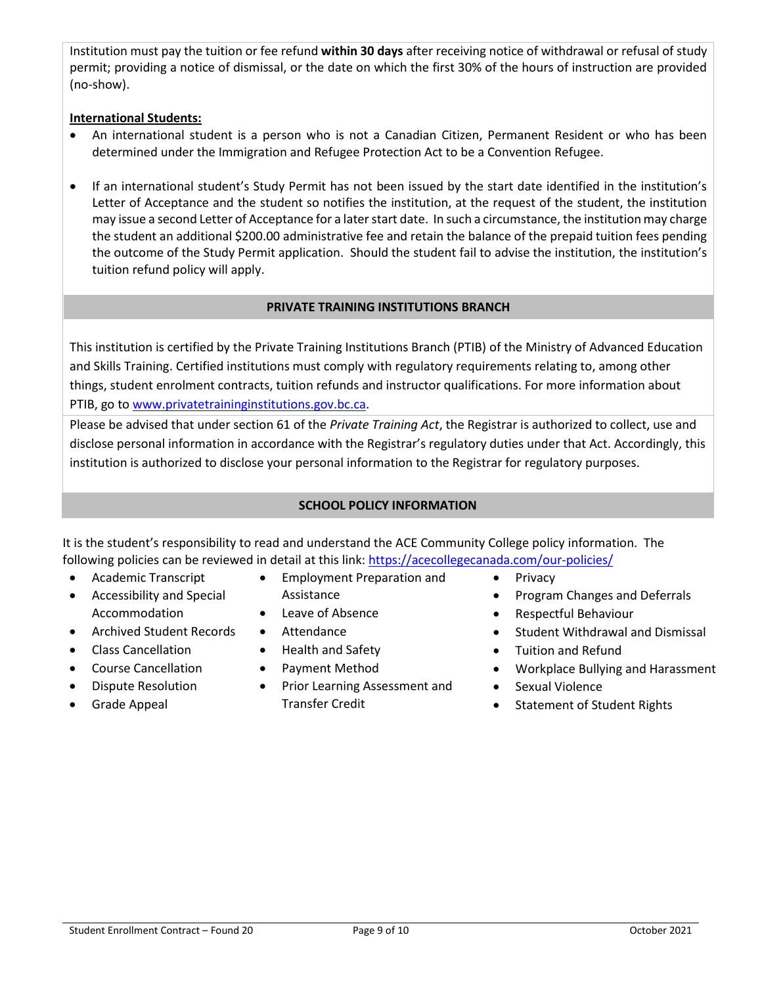Institution must pay the tuition or fee refund **within 30 days** after receiving notice of withdrawal or refusal of study permit; providing a notice of dismissal, or the date on which the first 30% of the hours of instruction are provided (no-show).

# **International Students:**

- An international student is a person who is not a Canadian Citizen, Permanent Resident or who has been determined under the Immigration and Refugee Protection Act to be a Convention Refugee.
- If an international student's Study Permit has not been issued by the start date identified in the institution's Letter of Acceptance and the student so notifies the institution, at the request of the student, the institution may issue a second Letter of Acceptance for a later start date. In such a circumstance, the institution may charge the student an additional \$200.00 administrative fee and retain the balance of the prepaid tuition fees pending the outcome of the Study Permit application. Should the student fail to advise the institution, the institution's tuition refund policy will apply.

# **PRIVATE TRAINING INSTITUTIONS BRANCH**

This institution is certified by the Private Training Institutions Branch (PTIB) of the Ministry of Advanced Education and Skills Training. Certified institutions must comply with regulatory requirements relating to, among other things, student enrolment contracts, tuition refunds and instructor qualifications. For more information about PTIB, go t[o www.privatetraininginstitutions.gov.bc.ca.](http://www.privatetraininginstitutions.gov.bc.ca/)

Please be advised that under section 61 of the *Private Training Act*, the Registrar is authorized to collect, use and disclose personal information in accordance with the Registrar's regulatory duties under that Act. Accordingly, this institution is authorized to disclose your personal information to the Registrar for regulatory purposes.

# **SCHOOL POLICY INFORMATION**

It is the student's responsibility to read and understand the ACE Community College policy information. The following policies can be reviewed in detail at this link:<https://acecollegecanada.com/our-policies/>

- Academic Transcript
- Accessibility and Special Accommodation
- Archived Student Records
- Class Cancellation
- Course Cancellation
- Dispute Resolution
- Grade Appeal
- Employment Preparation and Assistance
- Leave of Absence
- Attendance
- Health and Safety
- Payment Method
- Prior Learning Assessment and Transfer Credit
- Privacy
- Program Changes and Deferrals
- Respectful Behaviour
- Student Withdrawal and Dismissal
- Tuition and Refund
- Workplace Bullying and Harassment
- Sexual Violence
- Statement of Student Rights